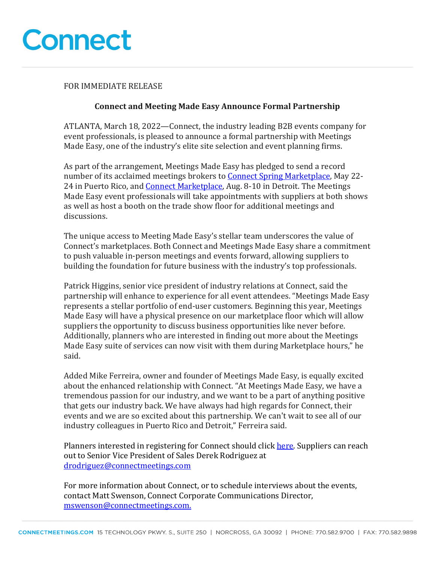

#### FOR IMMEDIATE RELEASE

### **Connect and Meeting Made Easy Announce Formal Partnership**

ATLANTA, March 18, 2022—Connect, the industry leading B2B events company for event professionals, is pleased to announce a formal partnership with Meetings Made Easy, one of the industry's elite site selection and event planning firms.

As part of the arrangement, Meetings Made Easy has pledged to send a record number of its acclaimed meetings brokers to Connect Spring Marketplace, May 22-24 in Puerto Rico, and **Connect Marketplace**, Aug. 8-10 in Detroit. The Meetings Made Easy event professionals will take appointments with suppliers at both shows as well as host a booth on the trade show floor for additional meetings and discussions.

The unique access to Meeting Made Easy's stellar team underscores the value of Connect's marketplaces. Both Connect and Meetings Made Easy share a commitment to push valuable in-person meetings and events forward, allowing suppliers to building the foundation for future business with the industry's top professionals.

Patrick Higgins, senior vice president of industry relations at Connect, said the partnership will enhance to experience for all event attendees. "Meetings Made Easy represents a stellar portfolio of end-user customers. Beginning this year, Meetings Made Easy will have a physical presence on our marketplace floor which will allow suppliers the opportunity to discuss business opportunities like never before. Additionally, planners who are interested in finding out more about the Meetings Made Easy suite of services can now visit with them during Marketplace hours," he said.

Added Mike Ferreira, owner and founder of Meetings Made Easy, is equally excited about the enhanced relationship with Connect. "At Meetings Made Easy, we have a tremendous passion for our industry, and we want to be a part of anything positive that gets our industry back. We have always had high regards for Connect, their events and we are so excited about this partnership. We can't wait to see all of our industry colleagues in Puerto Rico and Detroit," Ferreira said.

Planners interested in registering for Connect should click here. Suppliers can reach out to Senior Vice President of Sales Derek Rodriguez at drodriguez@connectmeetings.com

For more information about Connect, or to schedule interviews about the events, contact Matt Swenson, Connect Corporate Communications Director, mswenson@connectmeetings.com.